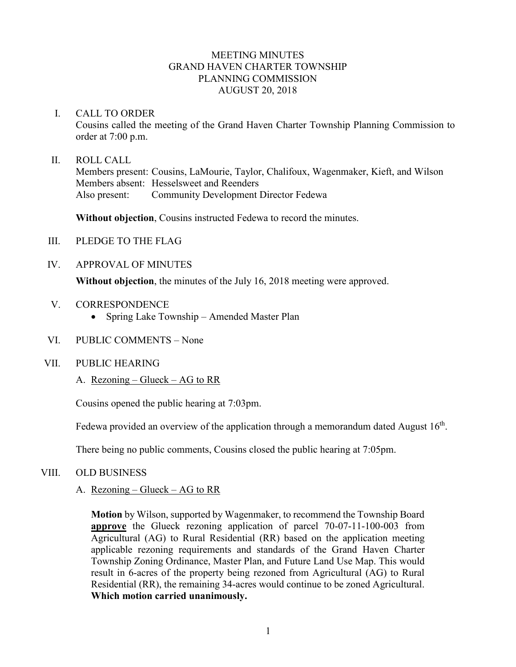## MEETING MINUTES GRAND HAVEN CHARTER TOWNSHIP PLANNING COMMISSION AUGUST 20, 2018

### I. CALL TO ORDER

Cousins called the meeting of the Grand Haven Charter Township Planning Commission to order at 7:00 p.m.

### II. ROLL CALL

Members present: Cousins, LaMourie, Taylor, Chalifoux, Wagenmaker, Kieft, and Wilson Members absent: Hesselsweet and Reenders Also present: Community Development Director Fedewa

**Without objection**, Cousins instructed Fedewa to record the minutes.

- III. PLEDGE TO THE FLAG
- IV. APPROVAL OF MINUTES

**Without objection**, the minutes of the July 16, 2018 meeting were approved.

- V. CORRESPONDENCE
	- Spring Lake Township Amended Master Plan
- VI. PUBLIC COMMENTS None
- VII. PUBLIC HEARING
	- A. Rezoning Glueck AG to RR

Cousins opened the public hearing at 7:03pm.

Fedewa provided an overview of the application through a memorandum dated August  $16<sup>th</sup>$ .

There being no public comments, Cousins closed the public hearing at 7:05pm.

- VIII. OLD BUSINESS
	- A. Rezoning Glueck AG to RR

**Motion** by Wilson, supported by Wagenmaker, to recommend the Township Board **approve** the Glueck rezoning application of parcel 70-07-11-100-003 from Agricultural (AG) to Rural Residential (RR) based on the application meeting applicable rezoning requirements and standards of the Grand Haven Charter Township Zoning Ordinance, Master Plan, and Future Land Use Map. This would result in 6-acres of the property being rezoned from Agricultural (AG) to Rural Residential (RR), the remaining 34-acres would continue to be zoned Agricultural. **Which motion carried unanimously.**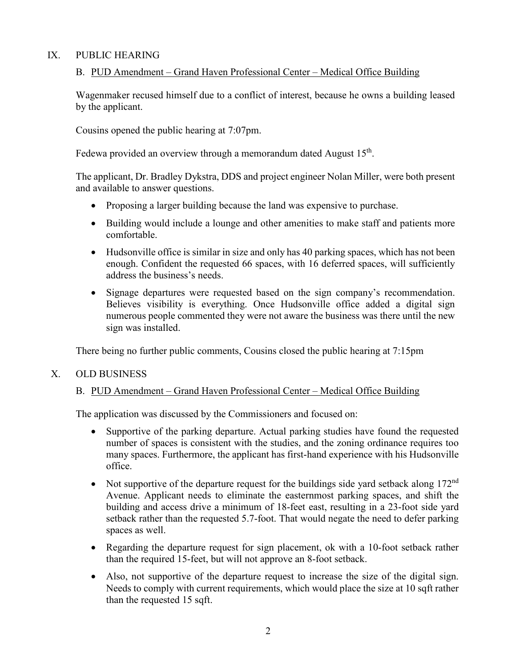# IX. PUBLIC HEARING

## B. PUD Amendment – Grand Haven Professional Center – Medical Office Building

Wagenmaker recused himself due to a conflict of interest, because he owns a building leased by the applicant.

Cousins opened the public hearing at 7:07pm.

Fedewa provided an overview through a memorandum dated August  $15<sup>th</sup>$ .

The applicant, Dr. Bradley Dykstra, DDS and project engineer Nolan Miller, were both present and available to answer questions.

- Proposing a larger building because the land was expensive to purchase.
- Building would include a lounge and other amenities to make staff and patients more comfortable.
- Hudsonville office is similar in size and only has 40 parking spaces, which has not been enough. Confident the requested 66 spaces, with 16 deferred spaces, will sufficiently address the business's needs.
- Signage departures were requested based on the sign company's recommendation. Believes visibility is everything. Once Hudsonville office added a digital sign numerous people commented they were not aware the business was there until the new sign was installed.

There being no further public comments, Cousins closed the public hearing at 7:15pm

## X. OLD BUSINESS

# B. PUD Amendment – Grand Haven Professional Center – Medical Office Building

The application was discussed by the Commissioners and focused on:

- Supportive of the parking departure. Actual parking studies have found the requested number of spaces is consistent with the studies, and the zoning ordinance requires too many spaces. Furthermore, the applicant has first-hand experience with his Hudsonville office.
- Not supportive of the departure request for the buildings side yard setback along  $172<sup>nd</sup>$ Avenue. Applicant needs to eliminate the easternmost parking spaces, and shift the building and access drive a minimum of 18-feet east, resulting in a 23-foot side yard setback rather than the requested 5.7-foot. That would negate the need to defer parking spaces as well.
- Regarding the departure request for sign placement, ok with a 10-foot setback rather than the required 15-feet, but will not approve an 8-foot setback.
- Also, not supportive of the departure request to increase the size of the digital sign. Needs to comply with current requirements, which would place the size at 10 sqft rather than the requested 15 sqft.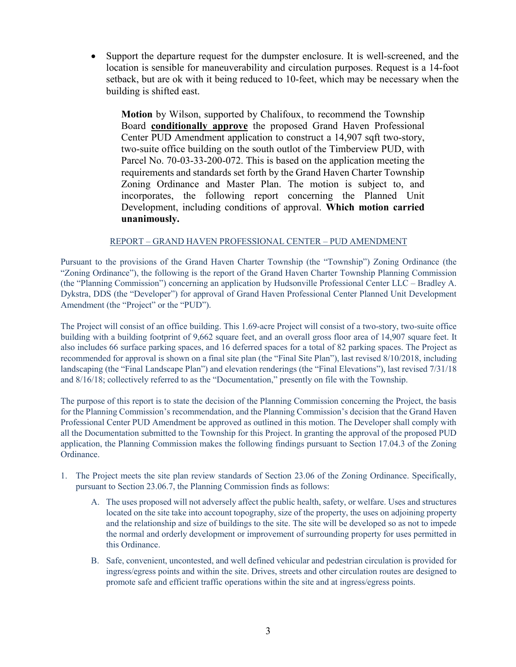• Support the departure request for the dumpster enclosure. It is well-screened, and the location is sensible for maneuverability and circulation purposes. Request is a 14-foot setback, but are ok with it being reduced to 10-feet, which may be necessary when the building is shifted east.

**Motion** by Wilson, supported by Chalifoux, to recommend the Township Board **conditionally approve** the proposed Grand Haven Professional Center PUD Amendment application to construct a 14,907 sqft two-story, two-suite office building on the south outlot of the Timberview PUD, with Parcel No. 70-03-33-200-072. This is based on the application meeting the requirements and standards set forth by the Grand Haven Charter Township Zoning Ordinance and Master Plan. The motion is subject to, and incorporates, the following report concerning the Planned Unit Development, including conditions of approval. **Which motion carried unanimously.**

#### REPORT – GRAND HAVEN PROFESSIONAL CENTER – PUD AMENDMENT

Pursuant to the provisions of the Grand Haven Charter Township (the "Township") Zoning Ordinance (the "Zoning Ordinance"), the following is the report of the Grand Haven Charter Township Planning Commission (the "Planning Commission") concerning an application by Hudsonville Professional Center LLC – Bradley A. Dykstra, DDS (the "Developer") for approval of Grand Haven Professional Center Planned Unit Development Amendment (the "Project" or the "PUD").

The Project will consist of an office building. This 1.69-acre Project will consist of a two-story, two-suite office building with a building footprint of 9,662 square feet, and an overall gross floor area of 14,907 square feet. It also includes 66 surface parking spaces, and 16 deferred spaces for a total of 82 parking spaces. The Project as recommended for approval is shown on a final site plan (the "Final Site Plan"), last revised 8/10/2018, including landscaping (the "Final Landscape Plan") and elevation renderings (the "Final Elevations"), last revised 7/31/18 and 8/16/18; collectively referred to as the "Documentation," presently on file with the Township.

The purpose of this report is to state the decision of the Planning Commission concerning the Project, the basis for the Planning Commission's recommendation, and the Planning Commission's decision that the Grand Haven Professional Center PUD Amendment be approved as outlined in this motion. The Developer shall comply with all the Documentation submitted to the Township for this Project. In granting the approval of the proposed PUD application, the Planning Commission makes the following findings pursuant to Section 17.04.3 of the Zoning Ordinance.

- 1. The Project meets the site plan review standards of Section 23.06 of the Zoning Ordinance. Specifically, pursuant to Section 23.06.7, the Planning Commission finds as follows:
	- A. The uses proposed will not adversely affect the public health, safety, or welfare. Uses and structures located on the site take into account topography, size of the property, the uses on adjoining property and the relationship and size of buildings to the site. The site will be developed so as not to impede the normal and orderly development or improvement of surrounding property for uses permitted in this Ordinance.
	- B. Safe, convenient, uncontested, and well defined vehicular and pedestrian circulation is provided for ingress/egress points and within the site. Drives, streets and other circulation routes are designed to promote safe and efficient traffic operations within the site and at ingress/egress points.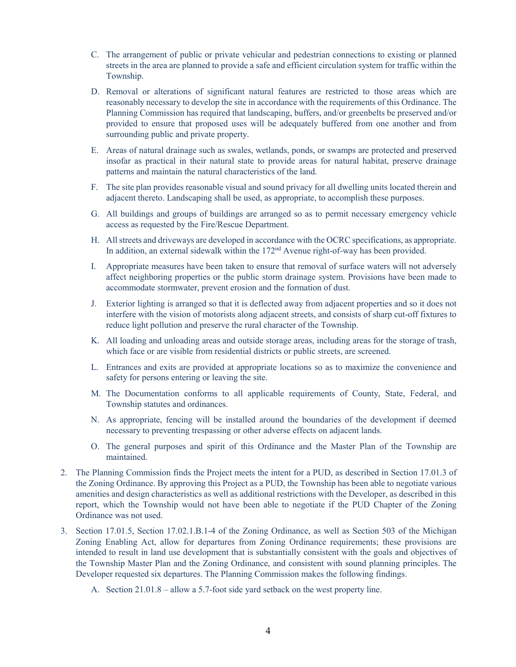- C. The arrangement of public or private vehicular and pedestrian connections to existing or planned streets in the area are planned to provide a safe and efficient circulation system for traffic within the Township.
- D. Removal or alterations of significant natural features are restricted to those areas which are reasonably necessary to develop the site in accordance with the requirements of this Ordinance. The Planning Commission has required that landscaping, buffers, and/or greenbelts be preserved and/or provided to ensure that proposed uses will be adequately buffered from one another and from surrounding public and private property.
- E. Areas of natural drainage such as swales, wetlands, ponds, or swamps are protected and preserved insofar as practical in their natural state to provide areas for natural habitat, preserve drainage patterns and maintain the natural characteristics of the land.
- F. The site plan provides reasonable visual and sound privacy for all dwelling units located therein and adjacent thereto. Landscaping shall be used, as appropriate, to accomplish these purposes.
- G. All buildings and groups of buildings are arranged so as to permit necessary emergency vehicle access as requested by the Fire/Rescue Department.
- H. All streets and driveways are developed in accordance with the OCRC specifications, as appropriate. In addition, an external sidewalk within the 172<sup>nd</sup> Avenue right-of-way has been provided.
- I. Appropriate measures have been taken to ensure that removal of surface waters will not adversely affect neighboring properties or the public storm drainage system. Provisions have been made to accommodate stormwater, prevent erosion and the formation of dust.
- J. Exterior lighting is arranged so that it is deflected away from adjacent properties and so it does not interfere with the vision of motorists along adjacent streets, and consists of sharp cut-off fixtures to reduce light pollution and preserve the rural character of the Township.
- K. All loading and unloading areas and outside storage areas, including areas for the storage of trash, which face or are visible from residential districts or public streets, are screened.
- L. Entrances and exits are provided at appropriate locations so as to maximize the convenience and safety for persons entering or leaving the site.
- M. The Documentation conforms to all applicable requirements of County, State, Federal, and Township statutes and ordinances.
- N. As appropriate, fencing will be installed around the boundaries of the development if deemed necessary to preventing trespassing or other adverse effects on adjacent lands.
- O. The general purposes and spirit of this Ordinance and the Master Plan of the Township are maintained.
- 2. The Planning Commission finds the Project meets the intent for a PUD, as described in Section 17.01.3 of the Zoning Ordinance. By approving this Project as a PUD, the Township has been able to negotiate various amenities and design characteristics as well as additional restrictions with the Developer, as described in this report, which the Township would not have been able to negotiate if the PUD Chapter of the Zoning Ordinance was not used.
- 3. Section 17.01.5, Section 17.02.1.B.1-4 of the Zoning Ordinance, as well as Section 503 of the Michigan Zoning Enabling Act, allow for departures from Zoning Ordinance requirements; these provisions are intended to result in land use development that is substantially consistent with the goals and objectives of the Township Master Plan and the Zoning Ordinance, and consistent with sound planning principles. The Developer requested six departures. The Planning Commission makes the following findings.
	- A. Section 21.01.8 allow a 5.7-foot side yard setback on the west property line.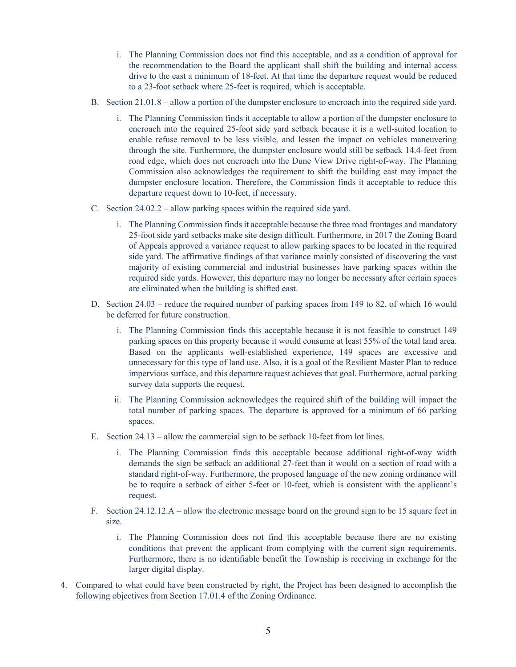- i. The Planning Commission does not find this acceptable, and as a condition of approval for the recommendation to the Board the applicant shall shift the building and internal access drive to the east a minimum of 18-feet. At that time the departure request would be reduced to a 23-foot setback where 25-feet is required, which is acceptable.
- B. Section 21.01.8 allow a portion of the dumpster enclosure to encroach into the required side yard.
	- i. The Planning Commission finds it acceptable to allow a portion of the dumpster enclosure to encroach into the required 25-foot side yard setback because it is a well-suited location to enable refuse removal to be less visible, and lessen the impact on vehicles maneuvering through the site. Furthermore, the dumpster enclosure would still be setback 14.4-feet from road edge, which does not encroach into the Dune View Drive right-of-way. The Planning Commission also acknowledges the requirement to shift the building east may impact the dumpster enclosure location. Therefore, the Commission finds it acceptable to reduce this departure request down to 10-feet, if necessary.
- C. Section 24.02.2 allow parking spaces within the required side yard.
	- i. The Planning Commission finds it acceptable because the three road frontages and mandatory 25-foot side yard setbacks make site design difficult. Furthermore, in 2017 the Zoning Board of Appeals approved a variance request to allow parking spaces to be located in the required side yard. The affirmative findings of that variance mainly consisted of discovering the vast majority of existing commercial and industrial businesses have parking spaces within the required side yards. However, this departure may no longer be necessary after certain spaces are eliminated when the building is shifted east.
- D. Section 24.03 reduce the required number of parking spaces from 149 to 82, of which 16 would be deferred for future construction.
	- i. The Planning Commission finds this acceptable because it is not feasible to construct 149 parking spaces on this property because it would consume at least 55% of the total land area. Based on the applicants well-established experience, 149 spaces are excessive and unnecessary for this type of land use. Also, it is a goal of the Resilient Master Plan to reduce impervious surface, and this departure request achieves that goal. Furthermore, actual parking survey data supports the request.
	- ii. The Planning Commission acknowledges the required shift of the building will impact the total number of parking spaces. The departure is approved for a minimum of 66 parking spaces.
- E. Section 24.13 allow the commercial sign to be setback 10-feet from lot lines.
	- i. The Planning Commission finds this acceptable because additional right-of-way width demands the sign be setback an additional 27-feet than it would on a section of road with a standard right-of-way. Furthermore, the proposed language of the new zoning ordinance will be to require a setback of either 5-feet or 10-feet, which is consistent with the applicant's request.
- F. Section 24.12.12.A allow the electronic message board on the ground sign to be 15 square feet in size.
	- i. The Planning Commission does not find this acceptable because there are no existing conditions that prevent the applicant from complying with the current sign requirements. Furthermore, there is no identifiable benefit the Township is receiving in exchange for the larger digital display.
- 4. Compared to what could have been constructed by right, the Project has been designed to accomplish the following objectives from Section 17.01.4 of the Zoning Ordinance.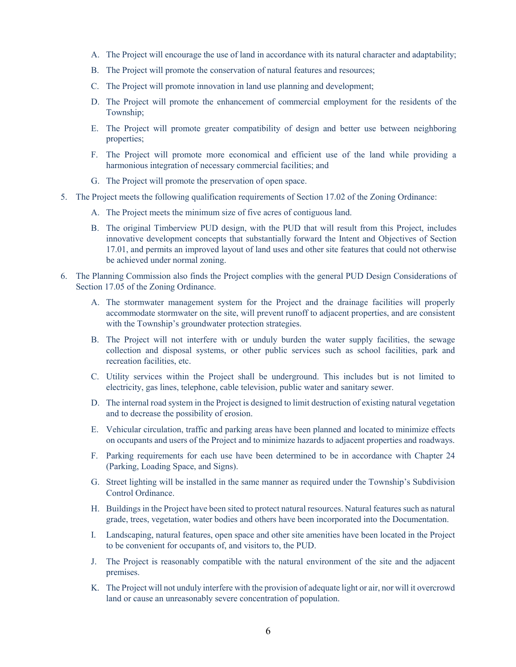- A. The Project will encourage the use of land in accordance with its natural character and adaptability;
- B. The Project will promote the conservation of natural features and resources;
- C. The Project will promote innovation in land use planning and development;
- D. The Project will promote the enhancement of commercial employment for the residents of the Township;
- E. The Project will promote greater compatibility of design and better use between neighboring properties;
- F. The Project will promote more economical and efficient use of the land while providing a harmonious integration of necessary commercial facilities; and
- G. The Project will promote the preservation of open space.
- 5. The Project meets the following qualification requirements of Section 17.02 of the Zoning Ordinance:
	- A. The Project meets the minimum size of five acres of contiguous land.
	- B. The original Timberview PUD design, with the PUD that will result from this Project, includes innovative development concepts that substantially forward the Intent and Objectives of Section 17.01, and permits an improved layout of land uses and other site features that could not otherwise be achieved under normal zoning.
- 6. The Planning Commission also finds the Project complies with the general PUD Design Considerations of Section 17.05 of the Zoning Ordinance.
	- A. The stormwater management system for the Project and the drainage facilities will properly accommodate stormwater on the site, will prevent runoff to adjacent properties, and are consistent with the Township's groundwater protection strategies.
	- B. The Project will not interfere with or unduly burden the water supply facilities, the sewage collection and disposal systems, or other public services such as school facilities, park and recreation facilities, etc.
	- C. Utility services within the Project shall be underground. This includes but is not limited to electricity, gas lines, telephone, cable television, public water and sanitary sewer.
	- D. The internal road system in the Project is designed to limit destruction of existing natural vegetation and to decrease the possibility of erosion.
	- E. Vehicular circulation, traffic and parking areas have been planned and located to minimize effects on occupants and users of the Project and to minimize hazards to adjacent properties and roadways.
	- F. Parking requirements for each use have been determined to be in accordance with Chapter 24 (Parking, Loading Space, and Signs).
	- G. Street lighting will be installed in the same manner as required under the Township's Subdivision Control Ordinance.
	- H. Buildings in the Project have been sited to protect natural resources. Natural features such as natural grade, trees, vegetation, water bodies and others have been incorporated into the Documentation.
	- I. Landscaping, natural features, open space and other site amenities have been located in the Project to be convenient for occupants of, and visitors to, the PUD.
	- J. The Project is reasonably compatible with the natural environment of the site and the adjacent premises.
	- K. The Project will not unduly interfere with the provision of adequate light or air, nor will it overcrowd land or cause an unreasonably severe concentration of population.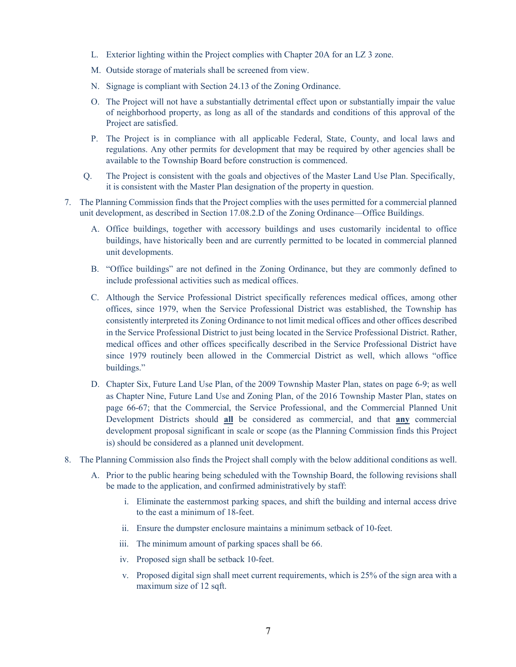- L. Exterior lighting within the Project complies with Chapter 20A for an LZ 3 zone.
- M. Outside storage of materials shall be screened from view.
- N. Signage is compliant with Section 24.13 of the Zoning Ordinance.
- O. The Project will not have a substantially detrimental effect upon or substantially impair the value of neighborhood property, as long as all of the standards and conditions of this approval of the Project are satisfied.
- P. The Project is in compliance with all applicable Federal, State, County, and local laws and regulations. Any other permits for development that may be required by other agencies shall be available to the Township Board before construction is commenced.
- Q. The Project is consistent with the goals and objectives of the Master Land Use Plan. Specifically, it is consistent with the Master Plan designation of the property in question.
- 7. The Planning Commission finds that the Project complies with the uses permitted for a commercial planned unit development, as described in Section 17.08.2.D of the Zoning Ordinance—Office Buildings.
	- A. Office buildings, together with accessory buildings and uses customarily incidental to office buildings, have historically been and are currently permitted to be located in commercial planned unit developments.
	- B. "Office buildings" are not defined in the Zoning Ordinance, but they are commonly defined to include professional activities such as medical offices.
	- C. Although the Service Professional District specifically references medical offices, among other offices, since 1979, when the Service Professional District was established, the Township has consistently interpreted its Zoning Ordinance to not limit medical offices and other offices described in the Service Professional District to just being located in the Service Professional District. Rather, medical offices and other offices specifically described in the Service Professional District have since 1979 routinely been allowed in the Commercial District as well, which allows "office buildings."
	- D. Chapter Six, Future Land Use Plan, of the 2009 Township Master Plan, states on page 6-9; as well as Chapter Nine, Future Land Use and Zoning Plan, of the 2016 Township Master Plan, states on page 66-67; that the Commercial, the Service Professional, and the Commercial Planned Unit Development Districts should **all** be considered as commercial, and that **any** commercial development proposal significant in scale or scope (as the Planning Commission finds this Project is) should be considered as a planned unit development.
- 8. The Planning Commission also finds the Project shall comply with the below additional conditions as well.
	- A. Prior to the public hearing being scheduled with the Township Board, the following revisions shall be made to the application, and confirmed administratively by staff:
		- i. Eliminate the easternmost parking spaces, and shift the building and internal access drive to the east a minimum of 18-feet.
		- ii. Ensure the dumpster enclosure maintains a minimum setback of 10-feet.
		- iii. The minimum amount of parking spaces shall be 66.
		- iv. Proposed sign shall be setback 10-feet.
		- v. Proposed digital sign shall meet current requirements, which is 25% of the sign area with a maximum size of 12 sqft.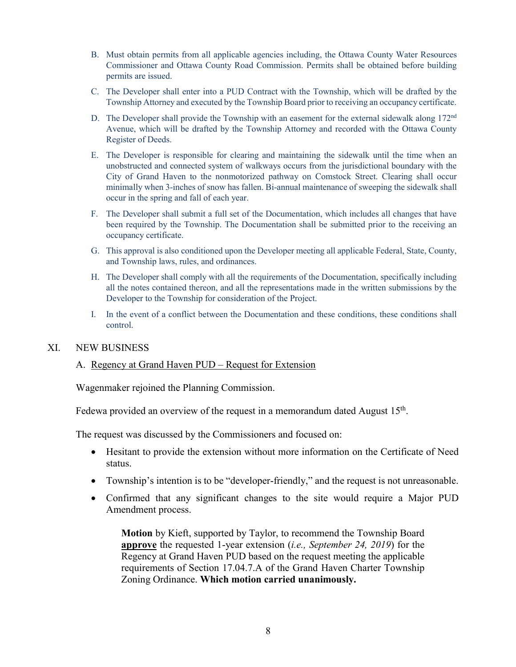- B. Must obtain permits from all applicable agencies including, the Ottawa County Water Resources Commissioner and Ottawa County Road Commission. Permits shall be obtained before building permits are issued.
- C. The Developer shall enter into a PUD Contract with the Township, which will be drafted by the Township Attorney and executed by the Township Board prior to receiving an occupancy certificate.
- D. The Developer shall provide the Township with an easement for the external sidewalk along  $172<sup>nd</sup>$ Avenue, which will be drafted by the Township Attorney and recorded with the Ottawa County Register of Deeds.
- E. The Developer is responsible for clearing and maintaining the sidewalk until the time when an unobstructed and connected system of walkways occurs from the jurisdictional boundary with the City of Grand Haven to the nonmotorized pathway on Comstock Street. Clearing shall occur minimally when 3-inches of snow has fallen. Bi-annual maintenance of sweeping the sidewalk shall occur in the spring and fall of each year.
- F. The Developer shall submit a full set of the Documentation, which includes all changes that have been required by the Township. The Documentation shall be submitted prior to the receiving an occupancy certificate.
- G. This approval is also conditioned upon the Developer meeting all applicable Federal, State, County, and Township laws, rules, and ordinances.
- H. The Developer shall comply with all the requirements of the Documentation, specifically including all the notes contained thereon, and all the representations made in the written submissions by the Developer to the Township for consideration of the Project.
- I. In the event of a conflict between the Documentation and these conditions, these conditions shall control.

## XI. NEW BUSINESS

## A. Regency at Grand Haven PUD – Request for Extension

Wagenmaker rejoined the Planning Commission.

Fedewa provided an overview of the request in a memorandum dated August  $15<sup>th</sup>$ .

The request was discussed by the Commissioners and focused on:

- Hesitant to provide the extension without more information on the Certificate of Need status.
- Township's intention is to be "developer-friendly," and the request is not unreasonable.
- Confirmed that any significant changes to the site would require a Major PUD Amendment process.

**Motion** by Kieft, supported by Taylor, to recommend the Township Board **approve** the requested 1-year extension (*i.e., September 24, 2019*) for the Regency at Grand Haven PUD based on the request meeting the applicable requirements of Section 17.04.7.A of the Grand Haven Charter Township Zoning Ordinance. **Which motion carried unanimously.**